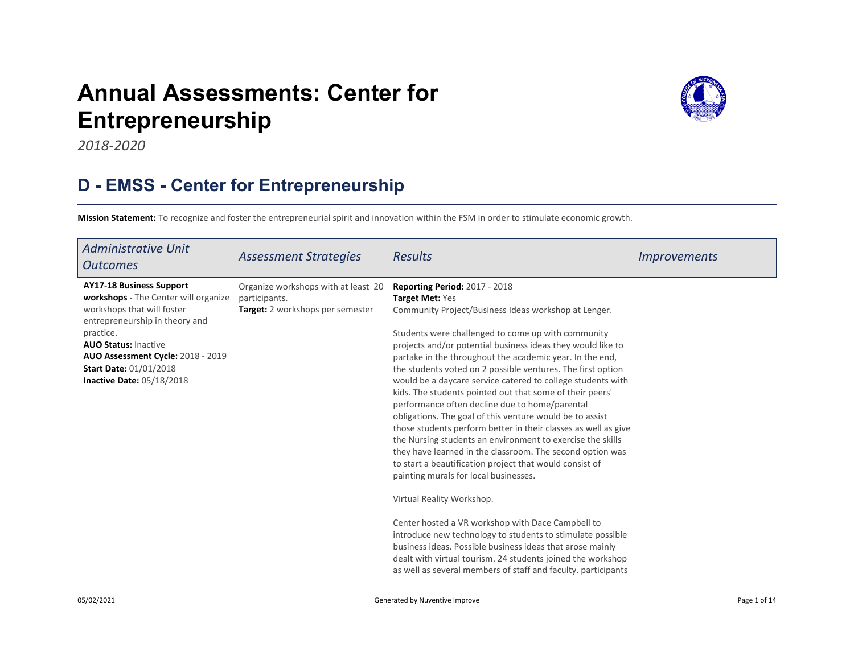## Annual Assessments: Center for Entrepreneurship



2018-2020

## D - EMSS - Center for Entrepreneurship

Mission Statement: To recognize and foster the entrepreneurial spirit and innovation within the FSM in order to stimulate economic growth.

| <b>Administrative Unit</b><br><b>Outcomes</b>                                                                                                                                       | <b>Assessment Strategies</b>                                                             | Results                                                                                                                                                                                                                                                                                                                                                                                                                                                                                                                                                                                                                                                           | <i>Improvements</i> |
|-------------------------------------------------------------------------------------------------------------------------------------------------------------------------------------|------------------------------------------------------------------------------------------|-------------------------------------------------------------------------------------------------------------------------------------------------------------------------------------------------------------------------------------------------------------------------------------------------------------------------------------------------------------------------------------------------------------------------------------------------------------------------------------------------------------------------------------------------------------------------------------------------------------------------------------------------------------------|---------------------|
| <b>AY17-18 Business Support</b><br>workshops - The Center will organize<br>workshops that will foster<br>entrepreneurship in theory and<br>practice.<br><b>AUO Status: Inactive</b> | Organize workshops with at least 20<br>participants.<br>Target: 2 workshops per semester | <b>Reporting Period: 2017 - 2018</b><br>Target Met: Yes<br>Community Project/Business Ideas workshop at Lenger.<br>Students were challenged to come up with community<br>projects and/or potential business ideas they would like to                                                                                                                                                                                                                                                                                                                                                                                                                              |                     |
| AUO Assessment Cycle: 2018 - 2019<br><b>Start Date: 01/01/2018</b><br><b>Inactive Date: 05/18/2018</b>                                                                              |                                                                                          | partake in the throughout the academic year. In the end,<br>the students voted on 2 possible ventures. The first option<br>would be a daycare service catered to college students with<br>kids. The students pointed out that some of their peers'<br>performance often decline due to home/parental<br>obligations. The goal of this venture would be to assist<br>those students perform better in their classes as well as give<br>the Nursing students an environment to exercise the skills<br>they have learned in the classroom. The second option was<br>to start a beautification project that would consist of<br>painting murals for local businesses. |                     |
|                                                                                                                                                                                     |                                                                                          | Virtual Reality Workshop.<br>Center hosted a VR workshop with Dace Campbell to<br>introduce new technology to students to stimulate possible<br>business ideas. Possible business ideas that arose mainly<br>dealt with virtual tourism. 24 students joined the workshop<br>as well as several members of staff and faculty, participants                                                                                                                                                                                                                                                                                                                         |                     |
| 05/02/2021                                                                                                                                                                          |                                                                                          | Generated by Nuventive Improve                                                                                                                                                                                                                                                                                                                                                                                                                                                                                                                                                                                                                                    | Page 1 of 14        |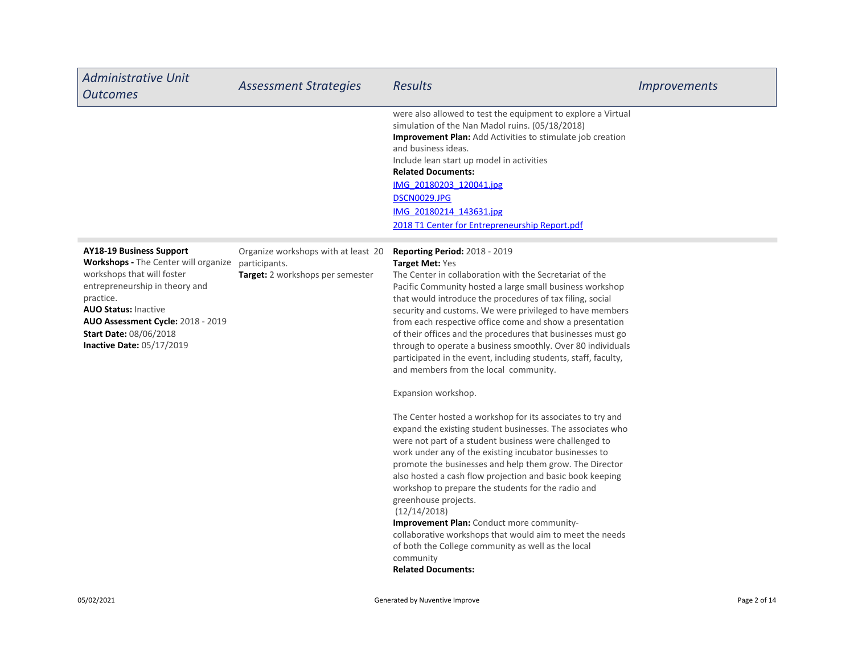| <b>Administrative Unit</b><br><b>Outcomes</b>                                                                                                                                                                                                                                                               | <b>Assessment Strategies</b>                                                             | <b>Results</b>                                                                                                                                                                                                                                                                                                                                                                                                                                                                                                                                                                                                                                                                                                                                                                                                                                                                                                                                                                                                                                                                                                                                                                                                                                                                                                                   | <i><u><b>Improvements</b></u></i> |
|-------------------------------------------------------------------------------------------------------------------------------------------------------------------------------------------------------------------------------------------------------------------------------------------------------------|------------------------------------------------------------------------------------------|----------------------------------------------------------------------------------------------------------------------------------------------------------------------------------------------------------------------------------------------------------------------------------------------------------------------------------------------------------------------------------------------------------------------------------------------------------------------------------------------------------------------------------------------------------------------------------------------------------------------------------------------------------------------------------------------------------------------------------------------------------------------------------------------------------------------------------------------------------------------------------------------------------------------------------------------------------------------------------------------------------------------------------------------------------------------------------------------------------------------------------------------------------------------------------------------------------------------------------------------------------------------------------------------------------------------------------|-----------------------------------|
|                                                                                                                                                                                                                                                                                                             |                                                                                          | were also allowed to test the equipment to explore a Virtual<br>simulation of the Nan Madol ruins. (05/18/2018)<br><b>Improvement Plan:</b> Add Activities to stimulate job creation<br>and business ideas.<br>Include lean start up model in activities<br><b>Related Documents:</b><br>IMG 20180203 120041.jpg<br>DSCN0029.JPG<br>IMG 20180214 143631.jpg<br>2018 T1 Center for Entrepreneurship Report.pdf                                                                                                                                                                                                                                                                                                                                                                                                                                                                                                                                                                                                                                                                                                                                                                                                                                                                                                                    |                                   |
| <b>AY18-19 Business Support</b><br><b>Workshops - The Center will organize</b><br>workshops that will foster<br>entrepreneurship in theory and<br>practice.<br><b>AUO Status: Inactive</b><br><b>AUO Assessment Cycle: 2018 - 2019</b><br><b>Start Date: 08/06/2018</b><br><b>Inactive Date: 05/17/2019</b> | Organize workshops with at least 20<br>participants.<br>Target: 2 workshops per semester | <b>Reporting Period: 2018 - 2019</b><br><b>Target Met: Yes</b><br>The Center in collaboration with the Secretariat of the<br>Pacific Community hosted a large small business workshop<br>that would introduce the procedures of tax filing, social<br>security and customs. We were privileged to have members<br>from each respective office come and show a presentation<br>of their offices and the procedures that businesses must go<br>through to operate a business smoothly. Over 80 individuals<br>participated in the event, including students, staff, faculty,<br>and members from the local community.<br>Expansion workshop.<br>The Center hosted a workshop for its associates to try and<br>expand the existing student businesses. The associates who<br>were not part of a student business were challenged to<br>work under any of the existing incubator businesses to<br>promote the businesses and help them grow. The Director<br>also hosted a cash flow projection and basic book keeping<br>workshop to prepare the students for the radio and<br>greenhouse projects.<br>(12/14/2018)<br><b>Improvement Plan:</b> Conduct more community-<br>collaborative workshops that would aim to meet the needs<br>of both the College community as well as the local<br>community<br><b>Related Documents:</b> |                                   |
| 05/02/2021                                                                                                                                                                                                                                                                                                  |                                                                                          | Generated by Nuventive Improve                                                                                                                                                                                                                                                                                                                                                                                                                                                                                                                                                                                                                                                                                                                                                                                                                                                                                                                                                                                                                                                                                                                                                                                                                                                                                                   | Page 2 of 14                      |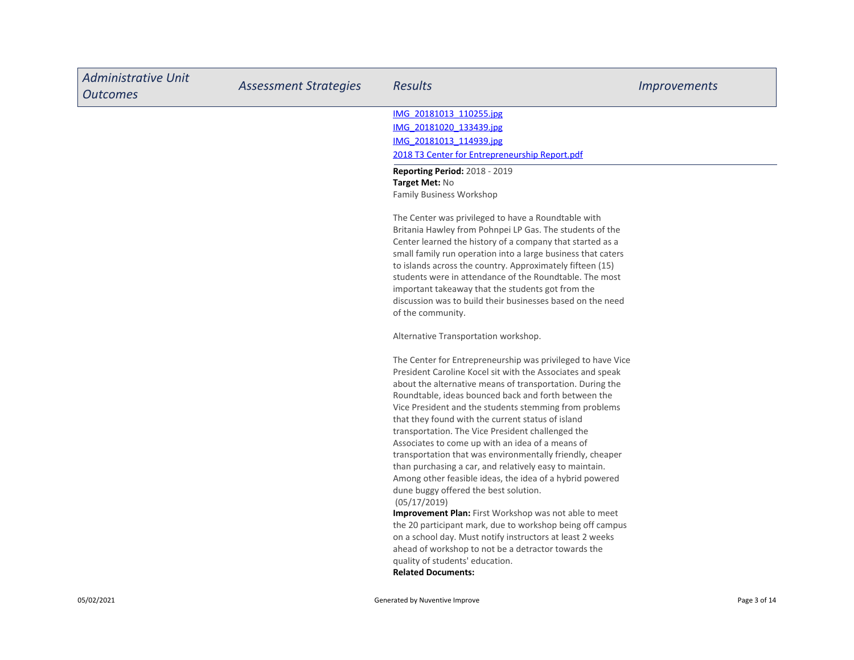| <b>Administrative Unit</b><br><b>Outcomes</b> | <b>Assessment Strategies</b> | <b>Results</b>                                                                                                       | <i><u><b>Improvements</b></u></i> |
|-----------------------------------------------|------------------------------|----------------------------------------------------------------------------------------------------------------------|-----------------------------------|
|                                               |                              | IMG 20181013 110255.jpg                                                                                              |                                   |
|                                               |                              | IMG 20181020 133439.jpg                                                                                              |                                   |
|                                               |                              | IMG 20181013 114939.jpg                                                                                              |                                   |
|                                               |                              | 2018 T3 Center for Entrepreneurship Report.pdf                                                                       |                                   |
|                                               |                              | <b>Reporting Period: 2018 - 2019</b>                                                                                 |                                   |
|                                               |                              | Target Met: No                                                                                                       |                                   |
|                                               |                              | <b>Family Business Workshop</b>                                                                                      |                                   |
|                                               |                              | The Center was privileged to have a Roundtable with                                                                  |                                   |
|                                               |                              | Britania Hawley from Pohnpei LP Gas. The students of the                                                             |                                   |
|                                               |                              | Center learned the history of a company that started as a                                                            |                                   |
|                                               |                              | small family run operation into a large business that caters                                                         |                                   |
|                                               |                              | to islands across the country. Approximately fifteen (15)                                                            |                                   |
|                                               |                              | students were in attendance of the Roundtable. The most                                                              |                                   |
|                                               |                              | important takeaway that the students got from the                                                                    |                                   |
|                                               |                              | discussion was to build their businesses based on the need                                                           |                                   |
|                                               |                              | of the community.                                                                                                    |                                   |
|                                               |                              | Alternative Transportation workshop.                                                                                 |                                   |
|                                               |                              | The Center for Entrepreneurship was privileged to have Vice                                                          |                                   |
|                                               |                              | President Caroline Kocel sit with the Associates and speak                                                           |                                   |
|                                               |                              | about the alternative means of transportation. During the                                                            |                                   |
|                                               |                              | Roundtable, ideas bounced back and forth between the                                                                 |                                   |
|                                               |                              | Vice President and the students stemming from problems                                                               |                                   |
|                                               |                              | that they found with the current status of island                                                                    |                                   |
|                                               |                              | transportation. The Vice President challenged the                                                                    |                                   |
|                                               |                              | Associates to come up with an idea of a means of                                                                     |                                   |
|                                               |                              | transportation that was environmentally friendly, cheaper<br>than purchasing a car, and relatively easy to maintain. |                                   |
|                                               |                              | Among other feasible ideas, the idea of a hybrid powered                                                             |                                   |
|                                               |                              | dune buggy offered the best solution.                                                                                |                                   |
|                                               |                              | (05/17/2019)                                                                                                         |                                   |
|                                               |                              | <b>Improvement Plan:</b> First Workshop was not able to meet                                                         |                                   |
|                                               |                              | the 20 participant mark, due to workshop being off campus                                                            |                                   |
|                                               |                              | on a school day. Must notify instructors at least 2 weeks                                                            |                                   |
|                                               |                              | ahead of workshop to not be a detractor towards the                                                                  |                                   |
|                                               |                              | quality of students' education.                                                                                      |                                   |
|                                               |                              | <b>Related Documents:</b>                                                                                            |                                   |
| 05/02/2021                                    |                              | Generated by Nuventive Improve                                                                                       | Page 3 of 14                      |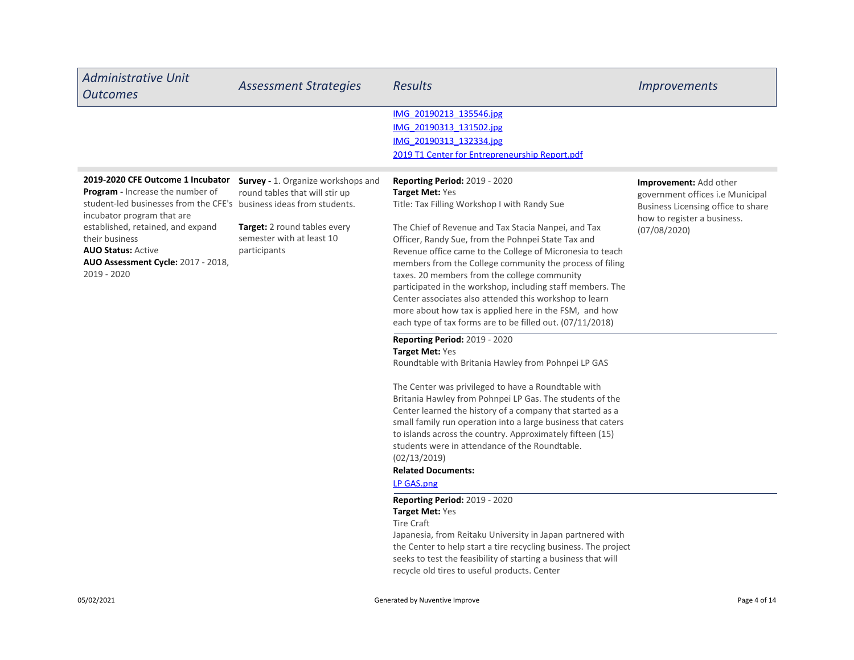| <b>Administrative Unit</b><br><b>Outcomes</b>                                                                                                                                                                                                                                                                                     | <b>Assessment Strategies</b>                                                                                                                             | <b>Results</b>                                                                                                                                                                                                                                                                                                                                                                                                                                                                                                                                                                                                                                                                                                                                                 | <i><u><b>Improvements</b></u></i>                                                                                                               |
|-----------------------------------------------------------------------------------------------------------------------------------------------------------------------------------------------------------------------------------------------------------------------------------------------------------------------------------|----------------------------------------------------------------------------------------------------------------------------------------------------------|----------------------------------------------------------------------------------------------------------------------------------------------------------------------------------------------------------------------------------------------------------------------------------------------------------------------------------------------------------------------------------------------------------------------------------------------------------------------------------------------------------------------------------------------------------------------------------------------------------------------------------------------------------------------------------------------------------------------------------------------------------------|-------------------------------------------------------------------------------------------------------------------------------------------------|
|                                                                                                                                                                                                                                                                                                                                   |                                                                                                                                                          | IMG 20190213 135546.jpg<br>IMG_20190313_131502.jpg<br>IMG 20190313 132334.jpg<br>2019 T1 Center for Entrepreneurship Report.pdf                                                                                                                                                                                                                                                                                                                                                                                                                                                                                                                                                                                                                                |                                                                                                                                                 |
| 2019-2020 CFE Outcome 1 Incubator<br><b>Program - Increase the number of</b><br>student-led businesses from the CFE's business ideas from students.<br>incubator program that are<br>established, retained, and expand<br>their business<br><b>AUO Status: Active</b><br><b>AUO Assessment Cycle: 2017 - 2018,</b><br>2019 - 2020 | <b>Survey - 1. Organize workshops and</b><br>round tables that will stir up<br>Target: 2 round tables every<br>semester with at least 10<br>participants | <b>Reporting Period: 2019 - 2020</b><br>Target Met: Yes<br>Title: Tax Filling Workshop I with Randy Sue<br>The Chief of Revenue and Tax Stacia Nanpei, and Tax<br>Officer, Randy Sue, from the Pohnpei State Tax and<br>Revenue office came to the College of Micronesia to teach<br>members from the College community the process of filing<br>taxes. 20 members from the college community<br>participated in the workshop, including staff members. The<br>Center associates also attended this workshop to learn<br>more about how tax is applied here in the FSM, and how<br>each type of tax forms are to be filled out. (07/11/2018)<br><b>Reporting Period: 2019 - 2020</b><br>Target Met: Yes<br>Roundtable with Britania Hawley from Pohnpei LP GAS | Improvement: Add other<br>government offices i.e Municipal<br>Business Licensing office to share<br>how to register a business.<br>(07/08/2020) |
|                                                                                                                                                                                                                                                                                                                                   |                                                                                                                                                          | The Center was privileged to have a Roundtable with<br>Britania Hawley from Pohnpei LP Gas. The students of the<br>Center learned the history of a company that started as a<br>small family run operation into a large business that caters<br>to islands across the country. Approximately fifteen (15)<br>students were in attendance of the Roundtable.<br>(02/13/2019)<br><b>Related Documents:</b><br>LP GAS.png                                                                                                                                                                                                                                                                                                                                         |                                                                                                                                                 |
|                                                                                                                                                                                                                                                                                                                                   |                                                                                                                                                          | <b>Reporting Period: 2019 - 2020</b><br>Target Met: Yes<br><b>Tire Craft</b><br>Japanesia, from Reitaku University in Japan partnered with<br>the Center to help start a tire recycling business. The project<br>seeks to test the feasibility of starting a business that will<br>recycle old tires to useful products. Center                                                                                                                                                                                                                                                                                                                                                                                                                                |                                                                                                                                                 |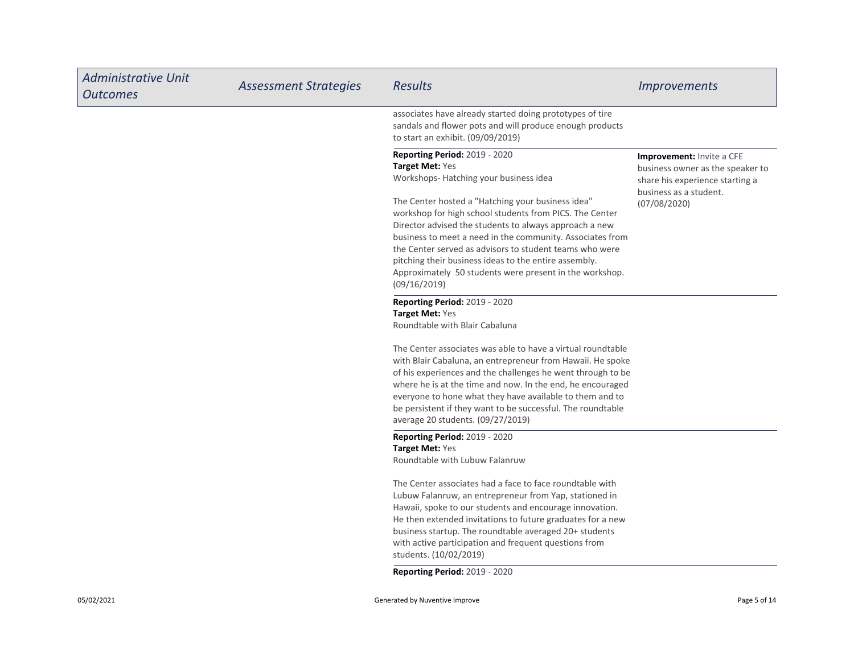| <b>Administrative Unit</b><br><b>Outcomes</b> | <b>Assessment Strategies</b> | <b>Results</b>                                                                                                                                                                                                                                                                                                                                                                                                                     | <b>Improvements</b>                                                                                                               |
|-----------------------------------------------|------------------------------|------------------------------------------------------------------------------------------------------------------------------------------------------------------------------------------------------------------------------------------------------------------------------------------------------------------------------------------------------------------------------------------------------------------------------------|-----------------------------------------------------------------------------------------------------------------------------------|
|                                               |                              | associates have already started doing prototypes of tire<br>sandals and flower pots and will produce enough products<br>to start an exhibit. (09/09/2019)                                                                                                                                                                                                                                                                          |                                                                                                                                   |
|                                               |                              | <b>Reporting Period: 2019 - 2020</b><br>Target Met: Yes<br>Workshops-Hatching your business idea                                                                                                                                                                                                                                                                                                                                   | <b>Improvement: Invite a CFE</b><br>business owner as the speaker to<br>share his experience starting a<br>business as a student. |
|                                               |                              | The Center hosted a "Hatching your business idea"<br>workshop for high school students from PICS. The Center<br>Director advised the students to always approach a new<br>business to meet a need in the community. Associates from<br>the Center served as advisors to student teams who were<br>pitching their business ideas to the entire assembly.<br>Approximately 50 students were present in the workshop.<br>(09/16/2019) | (07/08/2020)                                                                                                                      |
|                                               |                              | <b>Reporting Period: 2019 - 2020</b><br>Target Met: Yes<br>Roundtable with Blair Cabaluna                                                                                                                                                                                                                                                                                                                                          |                                                                                                                                   |
|                                               |                              | The Center associates was able to have a virtual roundtable<br>with Blair Cabaluna, an entrepreneur from Hawaii. He spoke<br>of his experiences and the challenges he went through to be<br>where he is at the time and now. In the end, he encouraged<br>everyone to hone what they have available to them and to<br>be persistent if they want to be successful. The roundtable<br>average 20 students. (09/27/2019)             |                                                                                                                                   |
|                                               |                              | <b>Reporting Period: 2019 - 2020</b><br>Target Met: Yes<br>Roundtable with Lubuw Falanruw                                                                                                                                                                                                                                                                                                                                          |                                                                                                                                   |
|                                               |                              | The Center associates had a face to face roundtable with<br>Lubuw Falanruw, an entrepreneur from Yap, stationed in<br>Hawaii, spoke to our students and encourage innovation.<br>He then extended invitations to future graduates for a new<br>business startup. The roundtable averaged 20+ students<br>with active participation and frequent questions from<br>students. (10/02/2019)                                           |                                                                                                                                   |
|                                               |                              | <b>Reporting Period: 2019 - 2020</b>                                                                                                                                                                                                                                                                                                                                                                                               |                                                                                                                                   |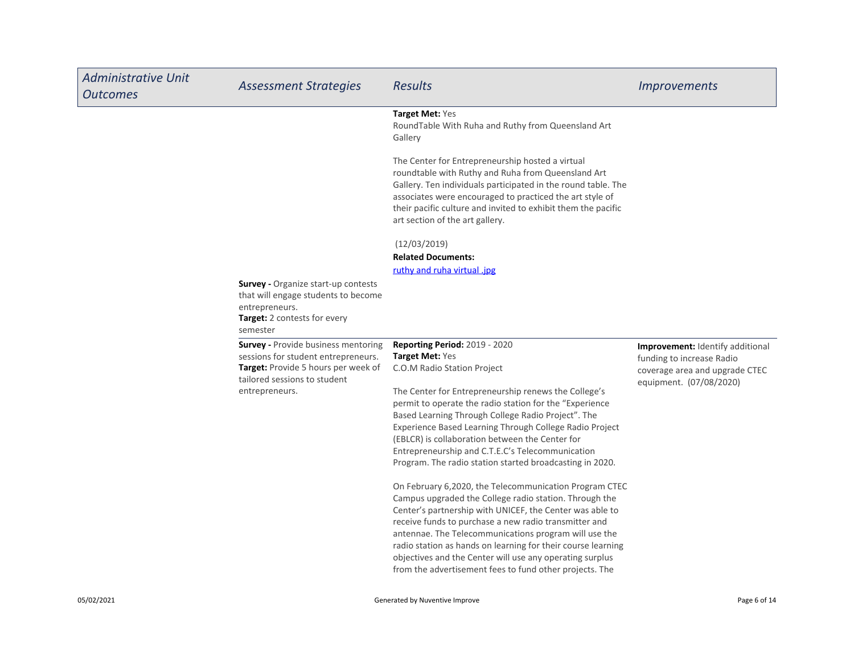| <b>Administrative Unit</b><br><b>Outcomes</b> | <b>Assessment Strategies</b>                                                                                                                                               | <b>Results</b>                                                                                                                                                                                                                                                                                                                                                                                                                                                                                | <i><u><b>Improvements</b></u></i>                                                                                          |
|-----------------------------------------------|----------------------------------------------------------------------------------------------------------------------------------------------------------------------------|-----------------------------------------------------------------------------------------------------------------------------------------------------------------------------------------------------------------------------------------------------------------------------------------------------------------------------------------------------------------------------------------------------------------------------------------------------------------------------------------------|----------------------------------------------------------------------------------------------------------------------------|
|                                               |                                                                                                                                                                            | Target Met: Yes<br>RoundTable With Ruha and Ruthy from Queensland Art<br>Gallery                                                                                                                                                                                                                                                                                                                                                                                                              |                                                                                                                            |
|                                               |                                                                                                                                                                            | The Center for Entrepreneurship hosted a virtual<br>roundtable with Ruthy and Ruha from Queensland Art<br>Gallery. Ten individuals participated in the round table. The<br>associates were encouraged to practiced the art style of<br>their pacific culture and invited to exhibit them the pacific<br>art section of the art gallery.                                                                                                                                                       |                                                                                                                            |
|                                               |                                                                                                                                                                            | (12/03/2019)                                                                                                                                                                                                                                                                                                                                                                                                                                                                                  |                                                                                                                            |
|                                               |                                                                                                                                                                            | <b>Related Documents:</b>                                                                                                                                                                                                                                                                                                                                                                                                                                                                     |                                                                                                                            |
|                                               |                                                                                                                                                                            | ruthy and ruha virtual .jpg                                                                                                                                                                                                                                                                                                                                                                                                                                                                   |                                                                                                                            |
|                                               | <b>Survey - Organize start-up contests</b><br>that will engage students to become<br>entrepreneurs.<br>Target: 2 contests for every<br>semester                            |                                                                                                                                                                                                                                                                                                                                                                                                                                                                                               |                                                                                                                            |
|                                               | <b>Survey - Provide business mentoring</b><br>sessions for student entrepreneurs.<br>Target: Provide 5 hours per week of<br>tailored sessions to student<br>entrepreneurs. | <b>Reporting Period: 2019 - 2020</b><br>Target Met: Yes<br>C.O.M Radio Station Project<br>The Center for Entrepreneurship renews the College's<br>permit to operate the radio station for the "Experience<br>Based Learning Through College Radio Project". The<br>Experience Based Learning Through College Radio Project<br>(EBLCR) is collaboration between the Center for<br>Entrepreneurship and C.T.E.C's Telecommunication<br>Program. The radio station started broadcasting in 2020. | Improvement: Identify additional<br>funding to increase Radio<br>coverage area and upgrade CTEC<br>equipment. (07/08/2020) |
|                                               |                                                                                                                                                                            | On February 6,2020, the Telecommunication Program CTEC<br>Campus upgraded the College radio station. Through the<br>Center's partnership with UNICEF, the Center was able to<br>receive funds to purchase a new radio transmitter and<br>antennae. The Telecommunications program will use the<br>radio station as hands on learning for their course learning<br>objectives and the Center will use any operating surplus<br>from the advertisement fees to fund other projects. The         |                                                                                                                            |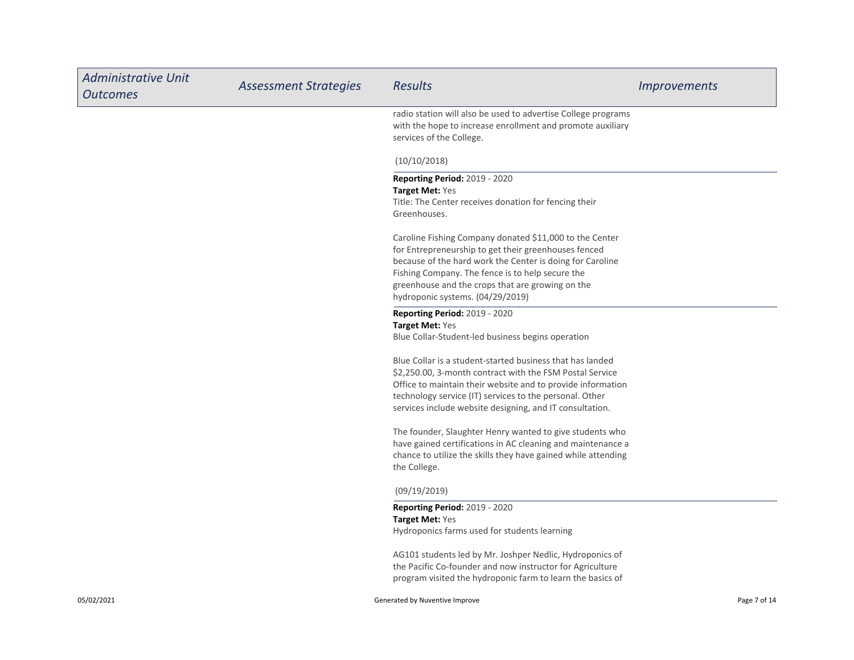| <b>Administrative Unit</b><br><b>Outcomes</b> | <b>Assessment Strategies</b> | <b>Results</b>                                                                                                                                                                                                                                                                                                           | <i><u><b>Improvements</b></u></i> |
|-----------------------------------------------|------------------------------|--------------------------------------------------------------------------------------------------------------------------------------------------------------------------------------------------------------------------------------------------------------------------------------------------------------------------|-----------------------------------|
|                                               |                              | radio station will also be used to advertise College programs<br>with the hope to increase enrollment and promote auxiliary<br>services of the College.                                                                                                                                                                  |                                   |
|                                               |                              | (10/10/2018)                                                                                                                                                                                                                                                                                                             |                                   |
|                                               |                              | <b>Reporting Period: 2019 - 2020</b><br><b>Target Met: Yes</b><br>Title: The Center receives donation for fencing their<br>Greenhouses.                                                                                                                                                                                  |                                   |
|                                               |                              | Caroline Fishing Company donated \$11,000 to the Center<br>for Entrepreneurship to get their greenhouses fenced<br>because of the hard work the Center is doing for Caroline<br>Fishing Company. The fence is to help secure the<br>greenhouse and the crops that are growing on the<br>hydroponic systems. (04/29/2019) |                                   |
|                                               |                              | <b>Reporting Period: 2019 - 2020</b><br><b>Target Met: Yes</b><br>Blue Collar-Student-led business begins operation                                                                                                                                                                                                      |                                   |
|                                               |                              | Blue Collar is a student-started business that has landed<br>\$2,250.00, 3-month contract with the FSM Postal Service<br>Office to maintain their website and to provide information<br>technology service (IT) services to the personal. Other<br>services include website designing, and IT consultation.              |                                   |
|                                               |                              | The founder, Slaughter Henry wanted to give students who<br>have gained certifications in AC cleaning and maintenance a<br>chance to utilize the skills they have gained while attending<br>the College.                                                                                                                 |                                   |
|                                               |                              | (09/19/2019)                                                                                                                                                                                                                                                                                                             |                                   |
|                                               |                              | <b>Reporting Period: 2019 - 2020</b><br><b>Target Met: Yes</b><br>Hydroponics farms used for students learning                                                                                                                                                                                                           |                                   |
|                                               |                              | AG101 students led by Mr. Joshper Nedlic, Hydroponics of<br>the Pacific Co-founder and now instructor for Agriculture<br>program visited the hydroponic farm to learn the basics of                                                                                                                                      |                                   |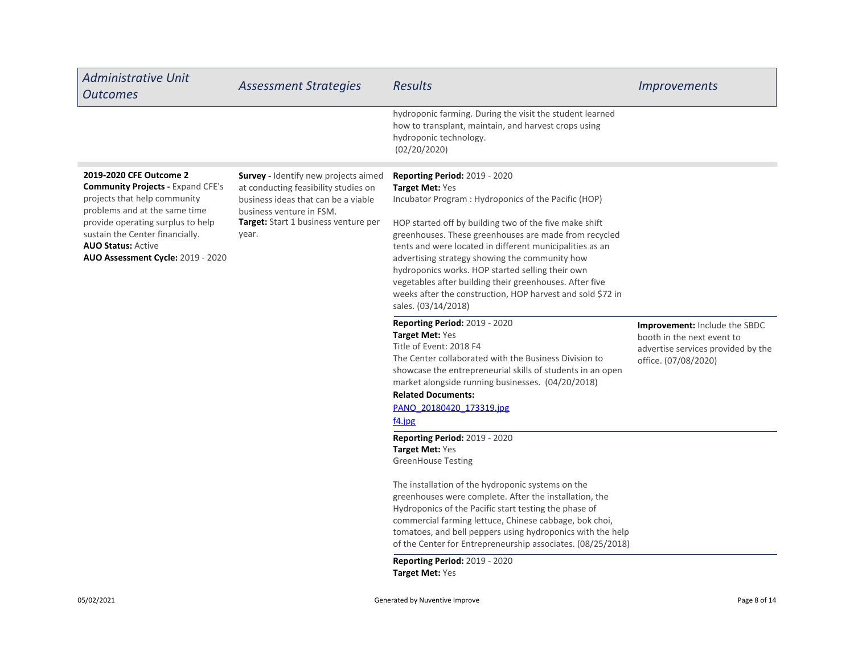| <b>Administrative Unit</b><br><b>Outcomes</b>                                                                                                                                                                                                                                         | <b>Assessment Strategies</b>                                                                                                                                                                                   | <b>Results</b>                                                                                                                                                                                                                                                                                                                                                                                                                                                                                                                                              | <i><u><b>Improvements</b></u></i>                                                                                                |
|---------------------------------------------------------------------------------------------------------------------------------------------------------------------------------------------------------------------------------------------------------------------------------------|----------------------------------------------------------------------------------------------------------------------------------------------------------------------------------------------------------------|-------------------------------------------------------------------------------------------------------------------------------------------------------------------------------------------------------------------------------------------------------------------------------------------------------------------------------------------------------------------------------------------------------------------------------------------------------------------------------------------------------------------------------------------------------------|----------------------------------------------------------------------------------------------------------------------------------|
|                                                                                                                                                                                                                                                                                       |                                                                                                                                                                                                                | hydroponic farming. During the visit the student learned<br>how to transplant, maintain, and harvest crops using<br>hydroponic technology.<br>(02/20/2020)                                                                                                                                                                                                                                                                                                                                                                                                  |                                                                                                                                  |
| 2019-2020 CFE Outcome 2<br><b>Community Projects - Expand CFE's</b><br>projects that help community<br>problems and at the same time<br>provide operating surplus to help<br>sustain the Center financially.<br><b>AUO Status: Active</b><br><b>AUO Assessment Cycle: 2019 - 2020</b> | <b>Survey - Identify new projects aimed</b><br>at conducting feasibility studies on<br>business ideas that can be a viable<br>business venture in FSM.<br><b>Target:</b> Start 1 business venture per<br>year. | <b>Reporting Period: 2019 - 2020</b><br><b>Target Met: Yes</b><br>Incubator Program : Hydroponics of the Pacific (HOP)<br>HOP started off by building two of the five make shift<br>greenhouses. These greenhouses are made from recycled<br>tents and were located in different municipalities as an<br>advertising strategy showing the community how<br>hydroponics works. HOP started selling their own<br>vegetables after building their greenhouses. After five<br>weeks after the construction, HOP harvest and sold \$72 in<br>sales. (03/14/2018) |                                                                                                                                  |
|                                                                                                                                                                                                                                                                                       |                                                                                                                                                                                                                | <b>Reporting Period: 2019 - 2020</b><br>Target Met: Yes<br>Title of Event: 2018 F4<br>The Center collaborated with the Business Division to<br>showcase the entrepreneurial skills of students in an open<br>market alongside running businesses. (04/20/2018)<br><b>Related Documents:</b><br>PANO 20180420 173319.jpg<br>f4.jpg                                                                                                                                                                                                                           | <b>Improvement:</b> Include the SBDC<br>booth in the next event to<br>advertise services provided by the<br>office. (07/08/2020) |
|                                                                                                                                                                                                                                                                                       |                                                                                                                                                                                                                | <b>Reporting Period: 2019 - 2020</b><br>Target Met: Yes<br><b>GreenHouse Testing</b><br>The installation of the hydroponic systems on the<br>greenhouses were complete. After the installation, the<br>Hydroponics of the Pacific start testing the phase of<br>commercial farming lettuce, Chinese cabbage, bok choi,<br>tomatoes, and bell peppers using hydroponics with the help<br>of the Center for Entrepreneurship associates. (08/25/2018)                                                                                                         |                                                                                                                                  |
|                                                                                                                                                                                                                                                                                       |                                                                                                                                                                                                                | Reporting Period: 2019 - 2020<br>Target Met: Yes                                                                                                                                                                                                                                                                                                                                                                                                                                                                                                            |                                                                                                                                  |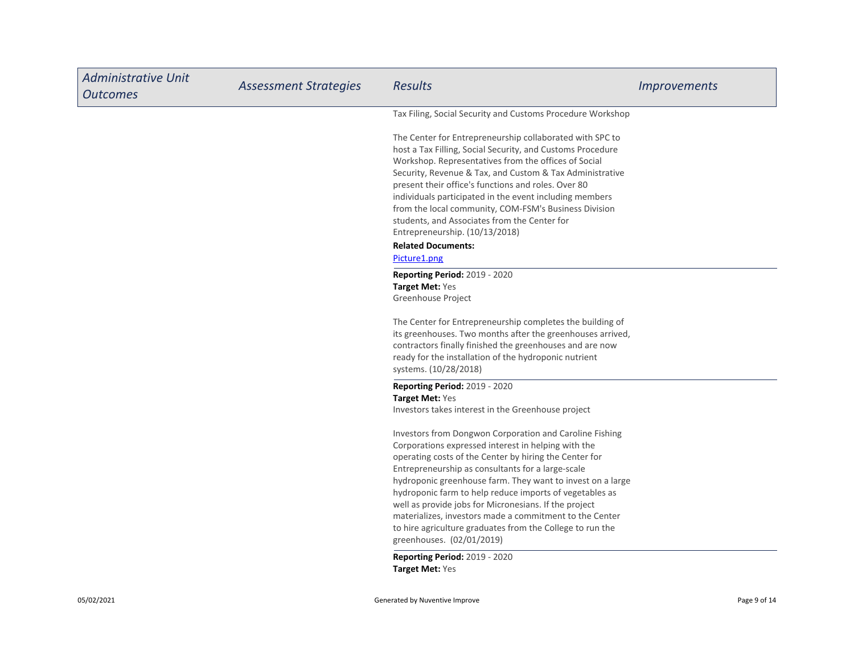| <b>Administrative Unit</b><br><b>Outcomes</b> | <b>Assessment Strategies</b> | <b>Results</b>                                                                                                                                                                                                                                                                                                                                                                                                                                                                                                                                                       | <i><u><b>Improvements</b></u></i> |
|-----------------------------------------------|------------------------------|----------------------------------------------------------------------------------------------------------------------------------------------------------------------------------------------------------------------------------------------------------------------------------------------------------------------------------------------------------------------------------------------------------------------------------------------------------------------------------------------------------------------------------------------------------------------|-----------------------------------|
|                                               |                              | Tax Filing, Social Security and Customs Procedure Workshop<br>The Center for Entrepreneurship collaborated with SPC to<br>host a Tax Filling, Social Security, and Customs Procedure<br>Workshop. Representatives from the offices of Social<br>Security, Revenue & Tax, and Custom & Tax Administrative<br>present their office's functions and roles. Over 80<br>individuals participated in the event including members<br>from the local community, COM-FSM's Business Division<br>students, and Associates from the Center for                                  |                                   |
|                                               |                              | Entrepreneurship. (10/13/2018)<br><b>Related Documents:</b><br>Picture1.png                                                                                                                                                                                                                                                                                                                                                                                                                                                                                          |                                   |
|                                               |                              | <b>Reporting Period: 2019 - 2020</b><br>Target Met: Yes<br>Greenhouse Project                                                                                                                                                                                                                                                                                                                                                                                                                                                                                        |                                   |
|                                               |                              | The Center for Entrepreneurship completes the building of<br>its greenhouses. Two months after the greenhouses arrived,<br>contractors finally finished the greenhouses and are now<br>ready for the installation of the hydroponic nutrient<br>systems. (10/28/2018)                                                                                                                                                                                                                                                                                                |                                   |
|                                               |                              | <b>Reporting Period: 2019 - 2020</b><br>Target Met: Yes<br>Investors takes interest in the Greenhouse project                                                                                                                                                                                                                                                                                                                                                                                                                                                        |                                   |
|                                               |                              | Investors from Dongwon Corporation and Caroline Fishing<br>Corporations expressed interest in helping with the<br>operating costs of the Center by hiring the Center for<br>Entrepreneurship as consultants for a large-scale<br>hydroponic greenhouse farm. They want to invest on a large<br>hydroponic farm to help reduce imports of vegetables as<br>well as provide jobs for Micronesians. If the project<br>materializes, investors made a commitment to the Center<br>to hire agriculture graduates from the College to run the<br>greenhouses. (02/01/2019) |                                   |
|                                               |                              | <b>Reporting Period: 2019 - 2020</b><br><b>Target Met: Yes</b>                                                                                                                                                                                                                                                                                                                                                                                                                                                                                                       |                                   |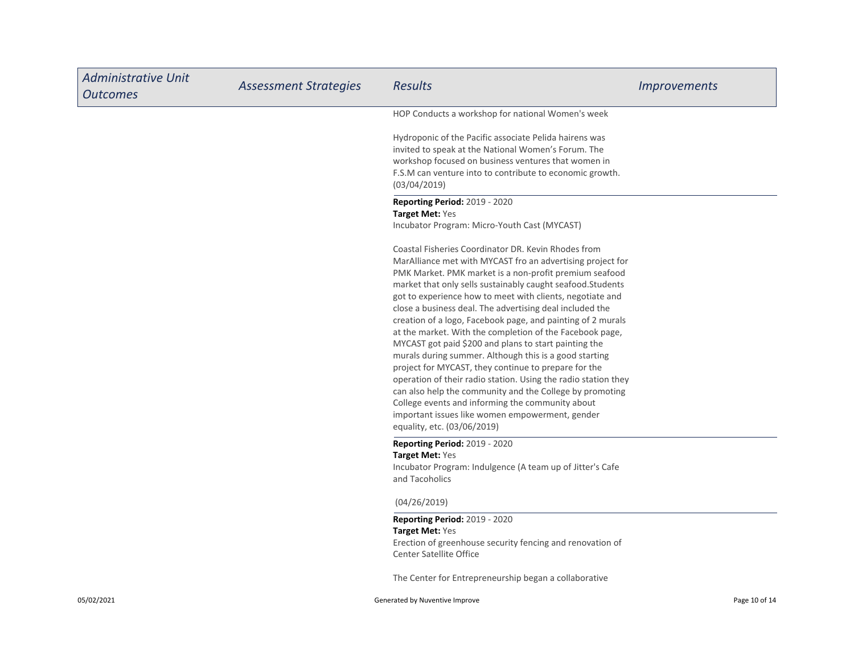| <b>Administrative Unit</b><br><b>Outcomes</b> | <b>Assessment Strategies</b> | <b>Results</b>                                                                                                                                                                                                                                                                                                                                                                                                                                                                                                                                                                                                                                                                                                                                                                                                                                                                                                                                | <i>Improvements</i> |
|-----------------------------------------------|------------------------------|-----------------------------------------------------------------------------------------------------------------------------------------------------------------------------------------------------------------------------------------------------------------------------------------------------------------------------------------------------------------------------------------------------------------------------------------------------------------------------------------------------------------------------------------------------------------------------------------------------------------------------------------------------------------------------------------------------------------------------------------------------------------------------------------------------------------------------------------------------------------------------------------------------------------------------------------------|---------------------|
|                                               |                              | HOP Conducts a workshop for national Women's week                                                                                                                                                                                                                                                                                                                                                                                                                                                                                                                                                                                                                                                                                                                                                                                                                                                                                             |                     |
|                                               |                              | Hydroponic of the Pacific associate Pelida hairens was<br>invited to speak at the National Women's Forum. The<br>workshop focused on business ventures that women in<br>F.S.M can venture into to contribute to economic growth.<br>(03/04/2019)                                                                                                                                                                                                                                                                                                                                                                                                                                                                                                                                                                                                                                                                                              |                     |
|                                               |                              | <b>Reporting Period: 2019 - 2020</b><br>Target Met: Yes<br>Incubator Program: Micro-Youth Cast (MYCAST)                                                                                                                                                                                                                                                                                                                                                                                                                                                                                                                                                                                                                                                                                                                                                                                                                                       |                     |
|                                               |                              | Coastal Fisheries Coordinator DR. Kevin Rhodes from<br>MarAlliance met with MYCAST fro an advertising project for<br>PMK Market. PMK market is a non-profit premium seafood<br>market that only sells sustainably caught seafood. Students<br>got to experience how to meet with clients, negotiate and<br>close a business deal. The advertising deal included the<br>creation of a logo, Facebook page, and painting of 2 murals<br>at the market. With the completion of the Facebook page,<br>MYCAST got paid \$200 and plans to start painting the<br>murals during summer. Although this is a good starting<br>project for MYCAST, they continue to prepare for the<br>operation of their radio station. Using the radio station they<br>can also help the community and the College by promoting<br>College events and informing the community about<br>important issues like women empowerment, gender<br>equality, etc. (03/06/2019) |                     |
|                                               |                              | <b>Reporting Period: 2019 - 2020</b><br>Target Met: Yes<br>Incubator Program: Indulgence (A team up of Jitter's Cafe<br>and Tacoholics                                                                                                                                                                                                                                                                                                                                                                                                                                                                                                                                                                                                                                                                                                                                                                                                        |                     |
|                                               |                              | (04/26/2019)                                                                                                                                                                                                                                                                                                                                                                                                                                                                                                                                                                                                                                                                                                                                                                                                                                                                                                                                  |                     |
|                                               |                              | <b>Reporting Period: 2019 - 2020</b><br>Target Met: Yes<br>Erection of greenhouse security fencing and renovation of<br><b>Center Satellite Office</b>                                                                                                                                                                                                                                                                                                                                                                                                                                                                                                                                                                                                                                                                                                                                                                                        |                     |

The Center for Entrepreneurship began a collaborative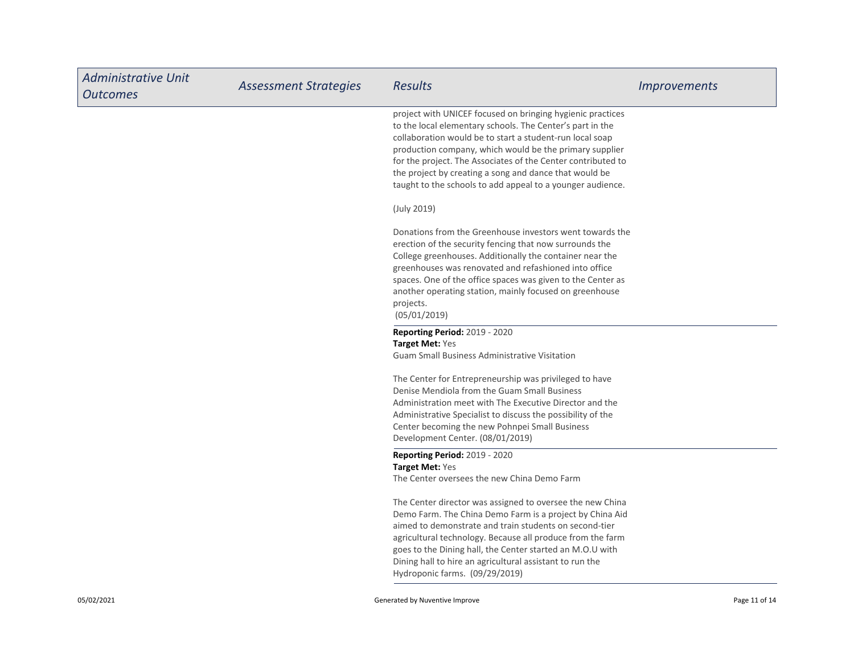| <b>Administrative Unit</b><br><b>Outcomes</b> | <b>Assessment Strategies</b> | <b>Results</b>                                                                                                                                                                                                                                                                                                                                                                                                                         | <b>Improvements</b> |
|-----------------------------------------------|------------------------------|----------------------------------------------------------------------------------------------------------------------------------------------------------------------------------------------------------------------------------------------------------------------------------------------------------------------------------------------------------------------------------------------------------------------------------------|---------------------|
|                                               |                              | project with UNICEF focused on bringing hygienic practices<br>to the local elementary schools. The Center's part in the<br>collaboration would be to start a student-run local soap<br>production company, which would be the primary supplier<br>for the project. The Associates of the Center contributed to<br>the project by creating a song and dance that would be<br>taught to the schools to add appeal to a younger audience. |                     |
|                                               |                              | (July 2019)                                                                                                                                                                                                                                                                                                                                                                                                                            |                     |
|                                               |                              | Donations from the Greenhouse investors went towards the<br>erection of the security fencing that now surrounds the<br>College greenhouses. Additionally the container near the<br>greenhouses was renovated and refashioned into office<br>spaces. One of the office spaces was given to the Center as<br>another operating station, mainly focused on greenhouse<br>projects.<br>(05/01/2019)                                        |                     |
|                                               |                              | <b>Reporting Period: 2019 - 2020</b><br>Target Met: Yes                                                                                                                                                                                                                                                                                                                                                                                |                     |
|                                               |                              | <b>Guam Small Business Administrative Visitation</b>                                                                                                                                                                                                                                                                                                                                                                                   |                     |
|                                               |                              | The Center for Entrepreneurship was privileged to have<br>Denise Mendiola from the Guam Small Business<br>Administration meet with The Executive Director and the<br>Administrative Specialist to discuss the possibility of the<br>Center becoming the new Pohnpei Small Business<br>Development Center. (08/01/2019)                                                                                                                 |                     |
|                                               |                              | <b>Reporting Period: 2019 - 2020</b><br><b>Target Met: Yes</b>                                                                                                                                                                                                                                                                                                                                                                         |                     |
|                                               |                              | The Center oversees the new China Demo Farm                                                                                                                                                                                                                                                                                                                                                                                            |                     |
|                                               |                              | The Center director was assigned to oversee the new China<br>Demo Farm. The China Demo Farm is a project by China Aid<br>aimed to demonstrate and train students on second-tier<br>agricultural technology. Because all produce from the farm<br>goes to the Dining hall, the Center started an M.O.U with<br>Dining hall to hire an agricultural assistant to run the<br>Hydroponic farms. (09/29/2019)                               |                     |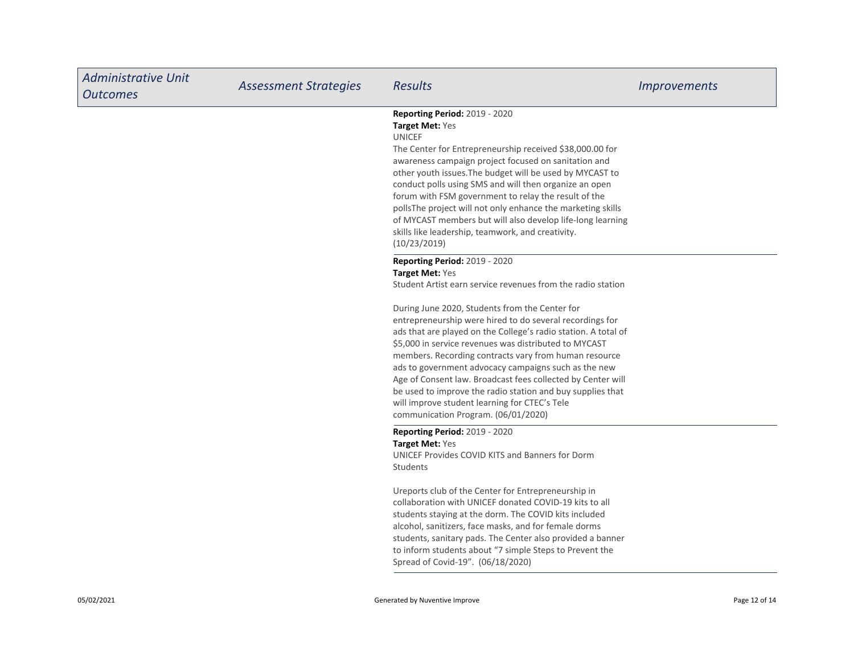| <b>Administrative Unit</b><br><b>Outcomes</b> | <b>Assessment Strategies</b> | <b>Results</b>                                                                                                                                                                                                                                                                                                                                                                                                                                                                                                                                                                      | <i>Improvements</i> |
|-----------------------------------------------|------------------------------|-------------------------------------------------------------------------------------------------------------------------------------------------------------------------------------------------------------------------------------------------------------------------------------------------------------------------------------------------------------------------------------------------------------------------------------------------------------------------------------------------------------------------------------------------------------------------------------|---------------------|
|                                               |                              | <b>Reporting Period: 2019 - 2020</b><br><b>Target Met: Yes</b><br><b>UNICEF</b><br>The Center for Entrepreneurship received \$38,000.00 for<br>awareness campaign project focused on sanitation and<br>other youth issues. The budget will be used by MYCAST to<br>conduct polls using SMS and will then organize an open<br>forum with FSM government to relay the result of the<br>pollsThe project will not only enhance the marketing skills<br>of MYCAST members but will also develop life-long learning<br>skills like leadership, teamwork, and creativity.<br>(10/23/2019) |                     |
|                                               |                              | <b>Reporting Period: 2019 - 2020</b><br>Target Met: Yes<br>Student Artist earn service revenues from the radio station                                                                                                                                                                                                                                                                                                                                                                                                                                                              |                     |
|                                               |                              | During June 2020, Students from the Center for<br>entrepreneurship were hired to do several recordings for<br>ads that are played on the College's radio station. A total of<br>\$5,000 in service revenues was distributed to MYCAST<br>members. Recording contracts vary from human resource<br>ads to government advocacy campaigns such as the new<br>Age of Consent law. Broadcast fees collected by Center will<br>be used to improve the radio station and buy supplies that<br>will improve student learning for CTEC's Tele<br>communication Program. (06/01/2020)         |                     |
|                                               |                              | <b>Reporting Period: 2019 - 2020</b><br>Target Met: Yes<br>UNICEF Provides COVID KITS and Banners for Dorm<br>Students                                                                                                                                                                                                                                                                                                                                                                                                                                                              |                     |
|                                               |                              | Ureports club of the Center for Entrepreneurship in<br>collaboration with UNICEF donated COVID-19 kits to all<br>students staying at the dorm. The COVID kits included<br>alcohol, sanitizers, face masks, and for female dorms<br>students, sanitary pads. The Center also provided a banner<br>to inform students about "7 simple Steps to Prevent the<br>Spread of Covid-19". (06/18/2020)                                                                                                                                                                                       |                     |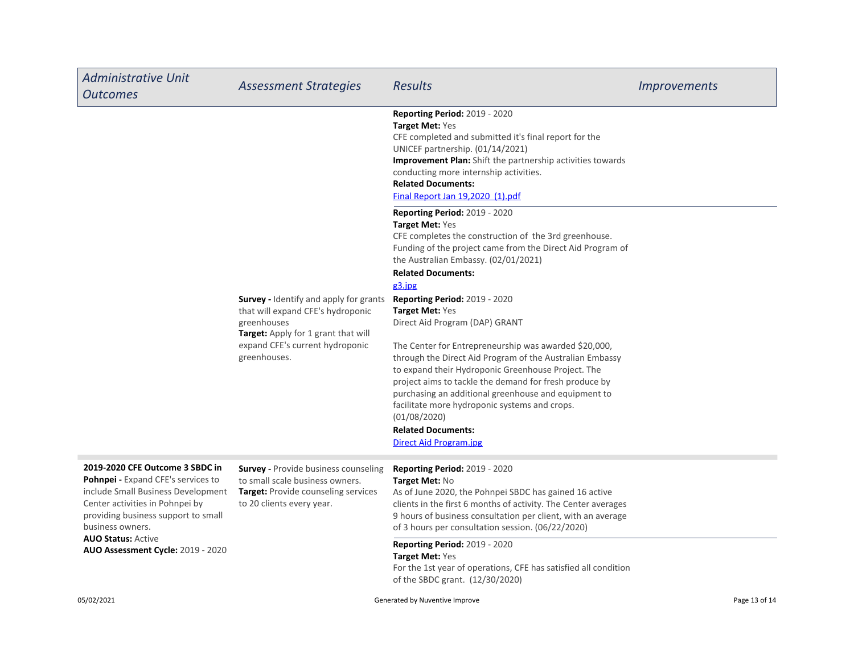| <b>Administrative Unit</b><br><b>Outcomes</b>                                                                                                                                                                                                                               | <b>Assessment Strategies</b>                                                                                                                                                                | <b>Results</b>                                                                                                                                                                                                                                                                                                                                                                                                                                                                                                                                                                                                                                                                                                                         | <i><u><b>Improvements</b></u></i> |
|-----------------------------------------------------------------------------------------------------------------------------------------------------------------------------------------------------------------------------------------------------------------------------|---------------------------------------------------------------------------------------------------------------------------------------------------------------------------------------------|----------------------------------------------------------------------------------------------------------------------------------------------------------------------------------------------------------------------------------------------------------------------------------------------------------------------------------------------------------------------------------------------------------------------------------------------------------------------------------------------------------------------------------------------------------------------------------------------------------------------------------------------------------------------------------------------------------------------------------------|-----------------------------------|
|                                                                                                                                                                                                                                                                             |                                                                                                                                                                                             | <b>Reporting Period: 2019 - 2020</b><br>Target Met: Yes<br>CFE completed and submitted it's final report for the<br>UNICEF partnership. (01/14/2021)<br>Improvement Plan: Shift the partnership activities towards<br>conducting more internship activities.<br><b>Related Documents:</b><br>Final Report Jan 19,2020 (1).pdf                                                                                                                                                                                                                                                                                                                                                                                                          |                                   |
|                                                                                                                                                                                                                                                                             | <b>Survey - Identify and apply for grants</b><br>that will expand CFE's hydroponic<br>greenhouses<br>Target: Apply for 1 grant that will<br>expand CFE's current hydroponic<br>greenhouses. | <b>Reporting Period: 2019 - 2020</b><br><b>Target Met: Yes</b><br>CFE completes the construction of the 3rd greenhouse.<br>Funding of the project came from the Direct Aid Program of<br>the Australian Embassy. (02/01/2021)<br><b>Related Documents:</b><br>g3.jpg<br><b>Reporting Period: 2019 - 2020</b><br><b>Target Met: Yes</b><br>Direct Aid Program (DAP) GRANT<br>The Center for Entrepreneurship was awarded \$20,000,<br>through the Direct Aid Program of the Australian Embassy<br>to expand their Hydroponic Greenhouse Project. The<br>project aims to tackle the demand for fresh produce by<br>purchasing an additional greenhouse and equipment to<br>facilitate more hydroponic systems and crops.<br>(01/08/2020) |                                   |
|                                                                                                                                                                                                                                                                             |                                                                                                                                                                                             | <b>Related Documents:</b><br><b>Direct Aid Program.jpg</b>                                                                                                                                                                                                                                                                                                                                                                                                                                                                                                                                                                                                                                                                             |                                   |
| 2019-2020 CFE Outcome 3 SBDC in<br>Pohnpei - Expand CFE's services to<br>include Small Business Development<br>Center activities in Pohnpei by<br>providing business support to small<br>business owners.<br><b>AUO Status: Active</b><br>AUO Assessment Cycle: 2019 - 2020 | <b>Survey - Provide business counseling</b><br>to small scale business owners.<br>Target: Provide counseling services<br>to 20 clients every year.                                          | <b>Reporting Period: 2019 - 2020</b><br>Target Met: No<br>As of June 2020, the Pohnpei SBDC has gained 16 active<br>clients in the first 6 months of activity. The Center averages<br>9 hours of business consultation per client, with an average<br>of 3 hours per consultation session. (06/22/2020)                                                                                                                                                                                                                                                                                                                                                                                                                                |                                   |
|                                                                                                                                                                                                                                                                             |                                                                                                                                                                                             | <b>Reporting Period: 2019 - 2020</b><br>Target Met: Yes<br>For the 1st year of operations, CFE has satisfied all condition                                                                                                                                                                                                                                                                                                                                                                                                                                                                                                                                                                                                             |                                   |

of the SBDC grant. (12/30/2020)